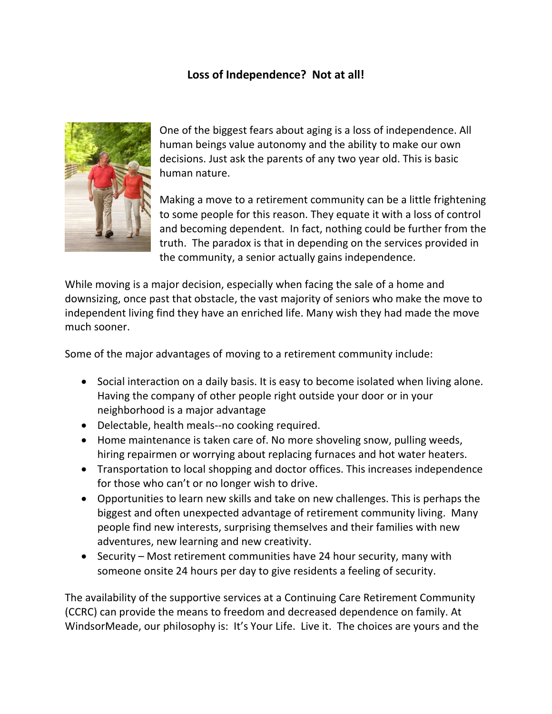## **Loss of Independence? Not at all!**



One of the biggest fears about aging is a loss of independence. All human beings value autonomy and the ability to make our own decisions. Just ask the parents of any two year old. This is basic human nature.

Making a move to a retirement community can be a little frightening to some people for this reason. They equate it with a loss of control and becoming dependent. In fact, nothing could be further from the truth. The paradox is that in depending on the services provided in the community, a senior actually gains independence.

While moving is a major decision, especially when facing the sale of a home and downsizing, once past that obstacle, the vast majority of seniors who make the move to independent living find they have an enriched life. Many wish they had made the move much sooner.

Some of the major advantages of moving to a retirement community include:

- Social interaction on a daily basis. It is easy to become isolated when living alone. Having the company of other people right outside your door or in your neighborhood is a major advantage
- Delectable, health meals--no cooking required.
- Home maintenance is taken care of. No more shoveling snow, pulling weeds, hiring repairmen or worrying about replacing furnaces and hot water heaters.
- Transportation to local shopping and doctor offices. This increases independence for those who can't or no longer wish to drive.
- Opportunities to learn new skills and take on new challenges. This is perhaps the biggest and often unexpected advantage of retirement community living. Many people find new interests, surprising themselves and their families with new adventures, new learning and new creativity.
- Security Most retirement communities have 24 hour security, many with someone onsite 24 hours per day to give residents a feeling of security.

The availability of the supportive services at a Continuing Care Retirement Community (CCRC) can provide the means to freedom and decreased dependence on family. At WindsorMeade, our philosophy is: It's Your Life. Live it. The choices are yours and the